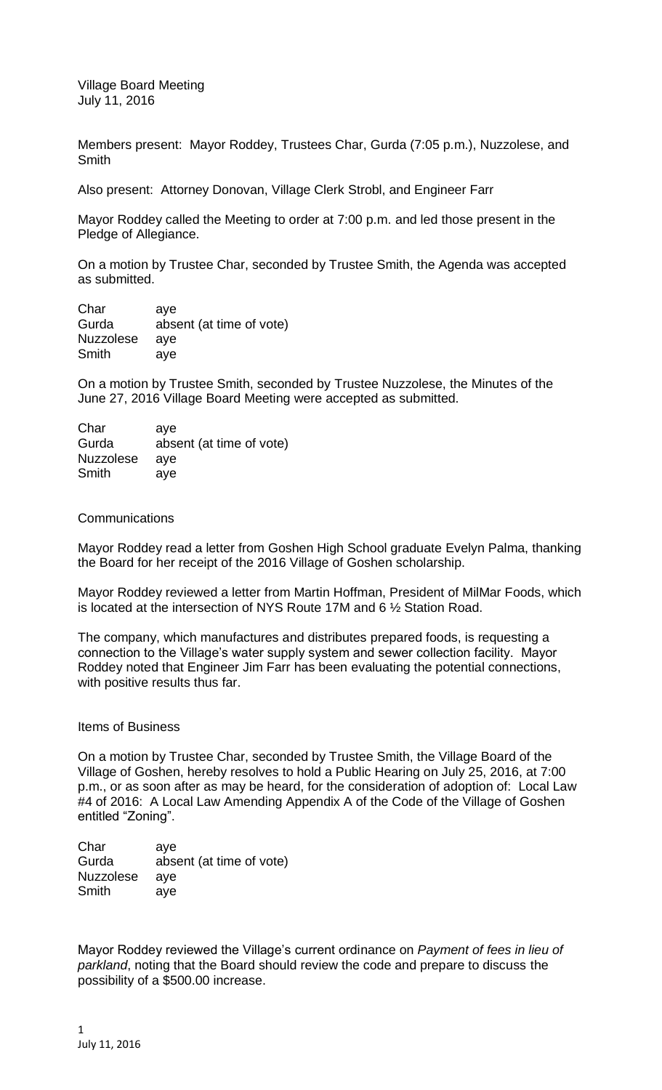Village Board Meeting July 11, 2016

Members present: Mayor Roddey, Trustees Char, Gurda (7:05 p.m.), Nuzzolese, and Smith

Also present: Attorney Donovan, Village Clerk Strobl, and Engineer Farr

Mayor Roddey called the Meeting to order at 7:00 p.m. and led those present in the Pledge of Allegiance.

On a motion by Trustee Char, seconded by Trustee Smith, the Agenda was accepted as submitted.

Char aye Gurda absent (at time of vote) Nuzzolese aye Smith aye

On a motion by Trustee Smith, seconded by Trustee Nuzzolese, the Minutes of the June 27, 2016 Village Board Meeting were accepted as submitted.

| Char             | ave                      |
|------------------|--------------------------|
| Gurda            | absent (at time of vote) |
| <b>Nuzzolese</b> | ave                      |
| Smith            | ave                      |

## Communications

Mayor Roddey read a letter from Goshen High School graduate Evelyn Palma, thanking the Board for her receipt of the 2016 Village of Goshen scholarship.

Mayor Roddey reviewed a letter from Martin Hoffman, President of MilMar Foods, which is located at the intersection of NYS Route 17M and 6 ½ Station Road.

The company, which manufactures and distributes prepared foods, is requesting a connection to the Village's water supply system and sewer collection facility. Mayor Roddey noted that Engineer Jim Farr has been evaluating the potential connections, with positive results thus far.

## Items of Business

On a motion by Trustee Char, seconded by Trustee Smith, the Village Board of the Village of Goshen, hereby resolves to hold a Public Hearing on July 25, 2016, at 7:00 p.m., or as soon after as may be heard, for the consideration of adoption of: Local Law #4 of 2016: A Local Law Amending Appendix A of the Code of the Village of Goshen entitled "Zoning".

Char aye Gurda absent (at time of vote) Nuzzolese aye Smith aye

Mayor Roddey reviewed the Village's current ordinance on *Payment of fees in lieu of parkland*, noting that the Board should review the code and prepare to discuss the possibility of a \$500.00 increase.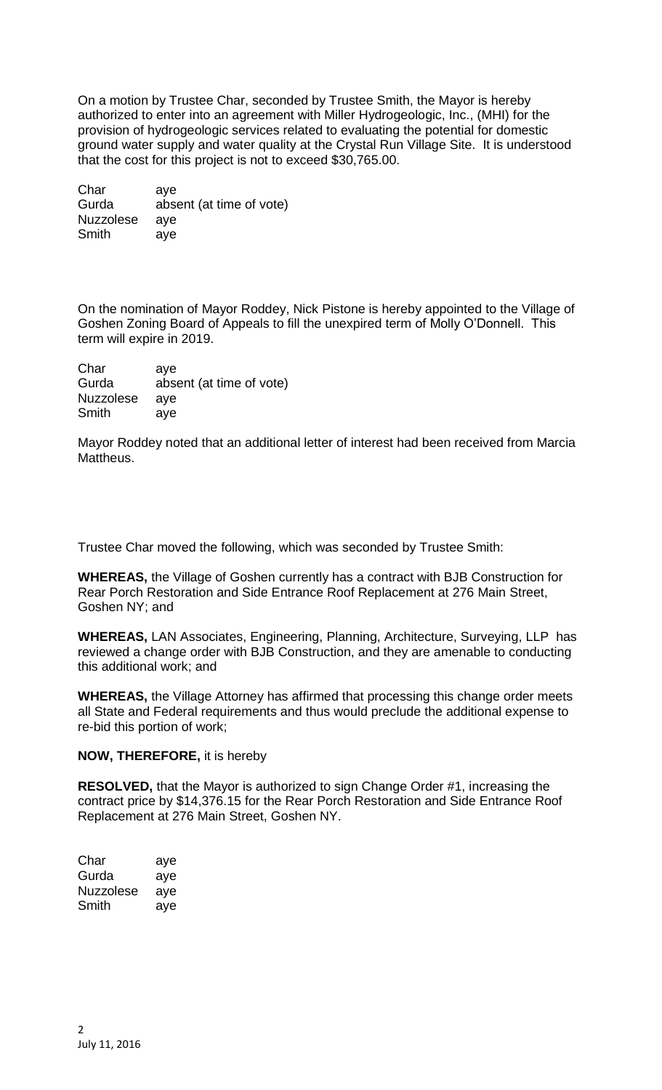On a motion by Trustee Char, seconded by Trustee Smith, the Mayor is hereby authorized to enter into an agreement with Miller Hydrogeologic, Inc., (MHI) for the provision of hydrogeologic services related to evaluating the potential for domestic ground water supply and water quality at the Crystal Run Village Site. It is understood that the cost for this project is not to exceed \$30,765.00.

Char aye Gurda absent (at time of vote) Nuzzolese aye Smith aye

On the nomination of Mayor Roddey, Nick Pistone is hereby appointed to the Village of Goshen Zoning Board of Appeals to fill the unexpired term of Molly O'Donnell. This term will expire in 2019.

Char aye Gurda absent (at time of vote) Nuzzolese aye Smith aye

Mayor Roddey noted that an additional letter of interest had been received from Marcia Mattheus.

Trustee Char moved the following, which was seconded by Trustee Smith:

**WHEREAS,** the Village of Goshen currently has a contract with BJB Construction for Rear Porch Restoration and Side Entrance Roof Replacement at 276 Main Street, Goshen NY; and

**WHEREAS,** LAN Associates, Engineering, Planning, Architecture, Surveying, LLP has reviewed a change order with BJB Construction, and they are amenable to conducting this additional work; and

**WHEREAS,** the Village Attorney has affirmed that processing this change order meets all State and Federal requirements and thus would preclude the additional expense to re-bid this portion of work;

## **NOW, THEREFORE,** it is hereby

**RESOLVED,** that the Mayor is authorized to sign Change Order #1, increasing the contract price by \$14,376.15 for the Rear Porch Restoration and Side Entrance Roof Replacement at 276 Main Street, Goshen NY.

| Char      | aye |
|-----------|-----|
| Gurda     | aye |
| Nuzzolese | aye |
| Smith     | aye |